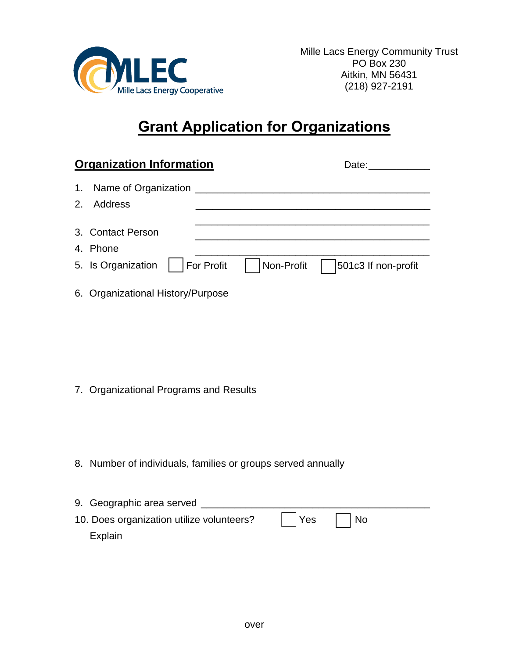

## **Grant Application for Organizations**

|    | <b>Organization Information</b> |                   | Date:      |                     |  |  |
|----|---------------------------------|-------------------|------------|---------------------|--|--|
|    | 1. Name of Organization         |                   |            |                     |  |  |
| 2. | Address                         |                   |            |                     |  |  |
|    | 3. Contact Person               |                   |            |                     |  |  |
|    | 4. Phone                        |                   |            |                     |  |  |
|    | 5. Is Organization              | <b>For Profit</b> | Non-Profit | 501c3 If non-profit |  |  |
|    |                                 |                   |            |                     |  |  |

6. Organizational History/Purpose

- 7. Organizational Programs and Results
- 8. Number of individuals, families or groups served annually

| 9. Geographic area served                 |  |
|-------------------------------------------|--|
| 10. Does organization utilize volunteers? |  |
| Explain                                   |  |